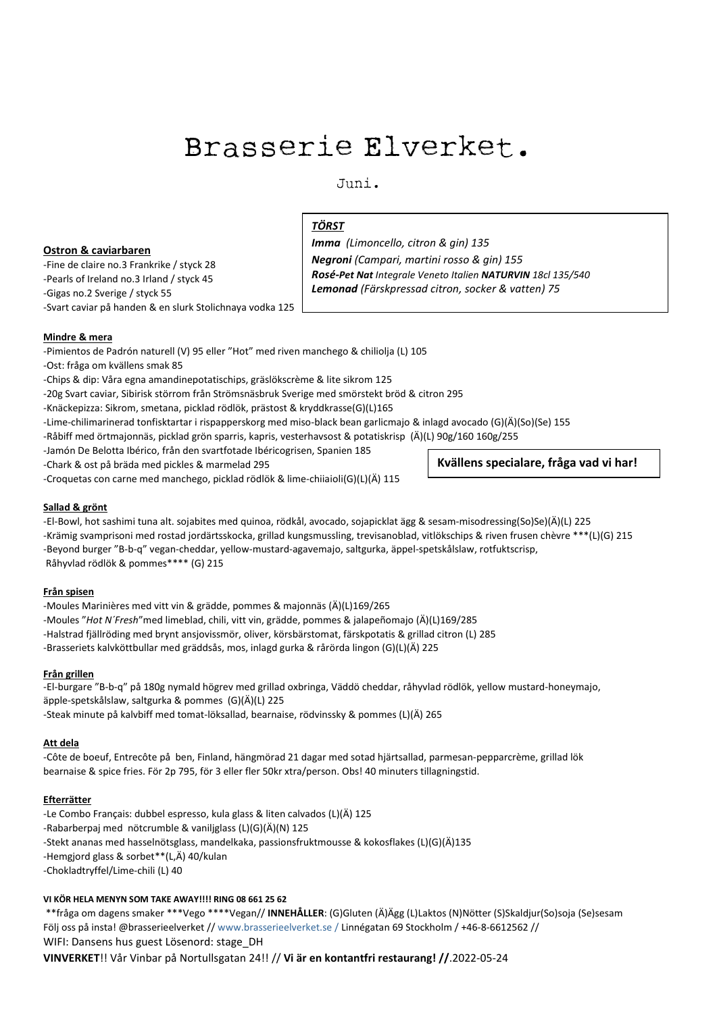# Brasserie Elverket.

 $J$ uni.

### **Ostron & caviarbaren**

-Fine de claire no.3 Frankrike / styck 28 -Pearls of Ireland no.3 Irland / styck 45 -Gigas no.2 Sverige / styck 55 -Svart caviar på handen & en slurk Stolichnaya vodka 125

# *TÖRST*

*Imma (Limoncello, citron & gin) 135 Negroni (Campari, martini rosso & gin) 155 Rosé-Pet Nat Integrale Veneto Italien NATURVIN 18cl 135/540 Lemonad (Färskpressad citron, socker & vatten) 75*

### **Mindre & mera**

-Pimientos de Padrón naturell (V) 95 eller "Hot" med riven manchego & chiliolja (L) 105

-Ost: fråga om kvällens smak 85

-Chips & dip: Våra egna amandinepotatischips, gräslökscrème & lite sikrom 125

-20g Svart caviar, Sibirisk störrom från Strömsnäsbruk Sverige med smörstekt bröd & citron 295

-Knäckepizza: Sikrom, smetana, picklad rödlök, prästost & kryddkrasse(G)(L)165

-Lime-chilimarinerad tonfisktartar i rispapperskorg med miso-black bean garlicmajo & inlagd avocado (G)(Ä)(So)(Se) 155

-Råbiff med örtmajonnäs, picklad grön sparris, kapris, vesterhavsost & potatiskrisp (Ä)(L) 90g/160 160g/255

-Jamón De Belotta Ibérico, från den svartfotade Ibéricogrisen, Spanien 185

-Chark & ost på bräda med pickles & marmelad 295

-Croquetas con carne med manchego, picklad rödlök & lime-chiiaioli(G)(L)(Ä) 115

**Kvällens specialare, fråga vad vi har!**

### **Sallad & grönt**

-El-Bowl, hot sashimi tuna alt. sojabites med quinoa, rödkål, avocado, sojapicklat ägg & sesam-misodressing(So)Se)(Ä)(L) 225 -Krämig svamprisoni med rostad jordärtsskocka, grillad kungsmussling, trevisanoblad, vitlökschips & riven frusen chèvre \*\*\*(L)(G) 215 -Beyond burger "B-b-q" vegan-cheddar, yellow-mustard-agavemajo, saltgurka, äppel-spetskålslaw, rotfuktscrisp, Råhyvlad rödlök & pommes\*\*\*\* (G) 215

### **Från spisen**

-Moules Marinières med vitt vin & grädde, pommes & majonnäs (Ä)(L)169/265 -Moules "*Hot N´Fresh*"med limeblad, chili, vitt vin, grädde, pommes & jalapeñomajo (Ä)(L)169/285 -Halstrad fjällröding med brynt ansjovissmör, oliver, körsbärstomat, färskpotatis & grillad citron (L) 285 -Brasseriets kalvköttbullar med gräddsås, mos, inlagd gurka & rårörda lingon (G)(L)(Ä) 225

#### **Från grillen**

-El-burgare "B-b-q" på 180g nymald högrev med grillad oxbringa, Väddö cheddar, råhyvlad rödlök, yellow mustard-honeymajo, äpple-spetskålslaw, saltgurka & pommes (G)(Ä)(L) 225 -Steak minute på kalvbiff med tomat-löksallad, bearnaise, rödvinssky & pommes (L)(Ä) 265

#### **Att dela**

-Côte de boeuf, Entrecôte på ben, Finland, hängmörad 21 dagar med sotad hjärtsallad, parmesan-pepparcrème, grillad lök bearnaise & spice fries. För 2p 795, för 3 eller fler 50kr xtra/person. Obs! 40 minuters tillagningstid.

### **Efterrätter** 115 km/h i 115 km/h i 115 km/h i 115 km/h i 115 km/h i 115 km/h i 115 km/h i 115 km/h i 115 km/h i 115 km/h i 115 km/h i 115 km/h i 115 km/h i 115 km/h i 115 km/h i 115 km/h i 115 km/h i 115 km/h i 115 km/h i

-Le Combo Français: dubbel espresso, kula glass & liten calvados (L)(Ä) 125 -Rabarberpaj med nötcrumble & vaniljglass (L)(G)(Ä)(N) 125 -Stekt ananas med hasselnötsglass, mandelkaka, passionsfruktmousse & kokosflakes (L)(G)(Ä)135 -Hemgjord glass & sorbet\*\*(L,Ä) 40/kulan -Chokladtryffel/Lime-chili (L) 40

### **VI KÖR HELA MENYN SOM TAKE AWAY!!!! RING 08 661 25 62**

\*\*fråga om dagens smaker \*\*\*Vego \*\*\*\*Vegan// **INNEHÅLLER**: (G)Gluten (Ä)Ägg (L)Laktos (N)Nötter (S)Skaldjur(So)soja (Se)sesam Följ oss på insta! @brasserieelverket // www.brasserieelverket.se / Linnégatan 69 Stockholm / +46-8-6612562 // WIFI: Dansens hus guest Lösenord: stage\_DH

**VINVERKET**!! Vår Vinbar på Nortullsgatan 24!! // **Vi är en kontantfri restaurang! //**.2022-05-24